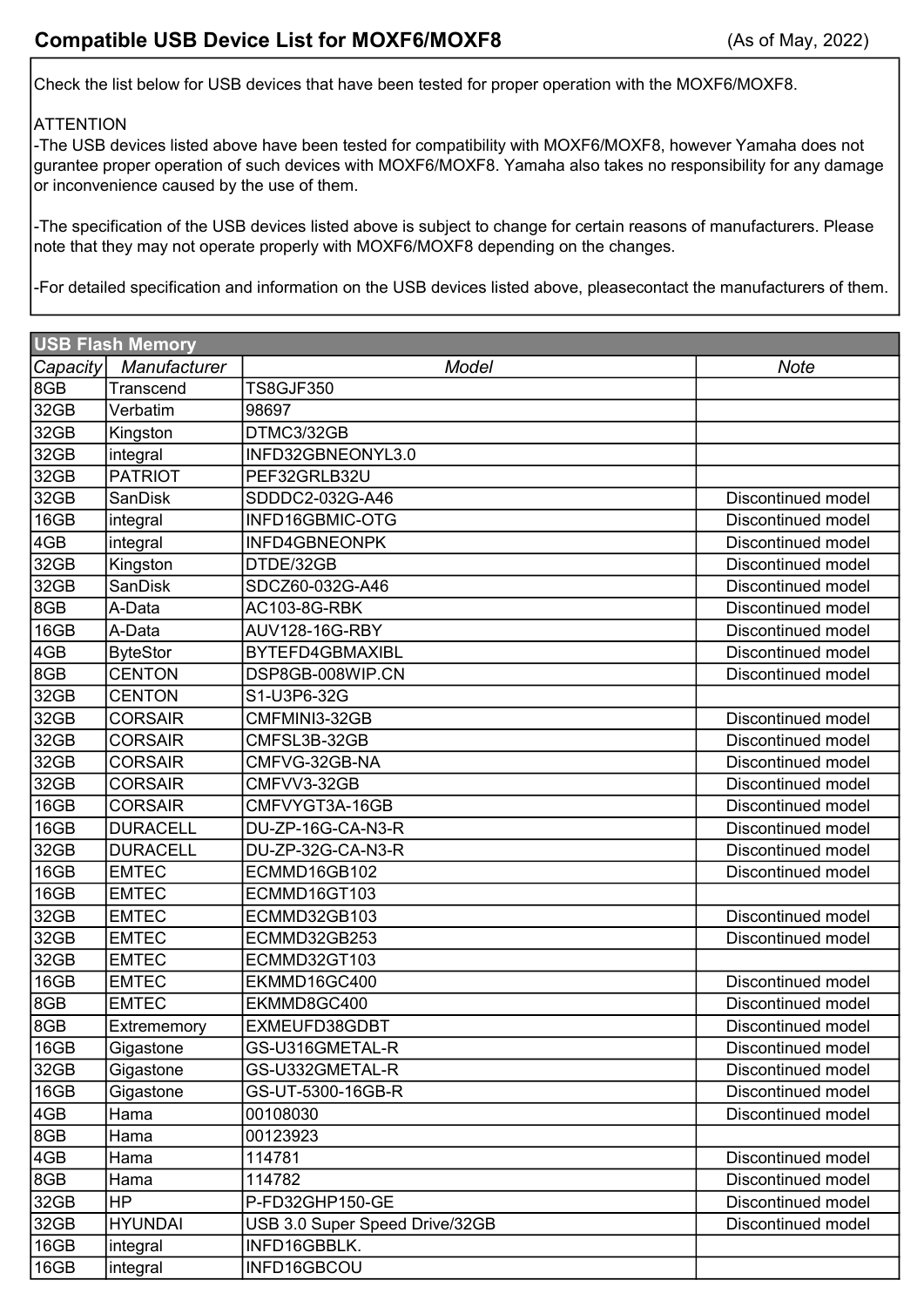Check the list below for USB devices that have been tested for proper operation with the MOXF6/MOXF8.

## **ATTENTION**

-The USB devices listed above have been tested for compatibility with MOXF6/MOXF8, however Yamaha does not gurantee proper operation of such devices with MOXF6/MOXF8. Yamaha also takes no responsibility for any damage or inconvenience caused by the use of them.

-The specification of the USB devices listed above is subject to change for certain reasons of manufacturers. Please note that they may not operate properly with MOXF6/MOXF8 depending on the changes.

-For detailed specification and information on the USB devices listed above, pleasecontact the manufacturers of them.

| <b>USB Flash Memory</b> |                 |                                |                    |
|-------------------------|-----------------|--------------------------------|--------------------|
| Capacity                | Manufacturer    | Model                          | <b>Note</b>        |
| 8GB                     | Transcend       | <b>TS8GJF350</b>               |                    |
| 32GB                    | Verbatim        | 98697                          |                    |
| 32GB                    | Kingston        | DTMC3/32GB                     |                    |
| 32GB                    | integral        | INFD32GBNEONYL3.0              |                    |
| 32GB                    | <b>PATRIOT</b>  | PEF32GRLB32U                   |                    |
| 32GB                    | <b>SanDisk</b>  | SDDDC2-032G-A46                | Discontinued model |
| 16GB                    | integral        | INFD16GBMIC-OTG                | Discontinued model |
| 4GB                     | integral        | INFD4GBNEONPK                  | Discontinued model |
| 32GB                    | Kingston        | DTDE/32GB                      | Discontinued model |
| 32GB                    | <b>SanDisk</b>  | SDCZ60-032G-A46                | Discontinued model |
| 8GB                     | A-Data          | AC103-8G-RBK                   | Discontinued model |
| 16GB                    | A-Data          | AUV128-16G-RBY                 | Discontinued model |
| 4GB                     | <b>ByteStor</b> | BYTEFD4GBMAXIBL                | Discontinued model |
| 8GB                     | <b>CENTON</b>   | DSP8GB-008WIP.CN               | Discontinued model |
| 32GB                    | <b>CENTON</b>   | S1-U3P6-32G                    |                    |
| 32GB                    | <b>CORSAIR</b>  | CMFMINI3-32GB                  | Discontinued model |
| 32GB                    | <b>CORSAIR</b>  | CMFSL3B-32GB                   | Discontinued model |
| 32GB                    | <b>CORSAIR</b>  | CMFVG-32GB-NA                  | Discontinued model |
| 32GB                    | <b>CORSAIR</b>  | CMFVV3-32GB                    | Discontinued model |
| 16GB                    | <b>CORSAIR</b>  | CMFVYGT3A-16GB                 | Discontinued model |
| 16GB                    | <b>DURACELL</b> | DU-ZP-16G-CA-N3-R              | Discontinued model |
| 32GB                    | <b>DURACELL</b> | DU-ZP-32G-CA-N3-R              | Discontinued model |
| 16GB                    | <b>EMTEC</b>    | ECMMD16GB102                   | Discontinued model |
| 16GB                    | <b>EMTEC</b>    | ECMMD16GT103                   |                    |
| 32GB                    | <b>EMTEC</b>    | ECMMD32GB103                   | Discontinued model |
| 32GB                    | <b>EMTEC</b>    | ECMMD32GB253                   | Discontinued model |
| 32GB                    | <b>EMTEC</b>    | ECMMD32GT103                   |                    |
| 16GB                    | <b>EMTEC</b>    | EKMMD16GC400                   | Discontinued model |
| 8GB                     | <b>EMTEC</b>    | EKMMD8GC400                    | Discontinued model |
| 8GB                     | Extrememory     | EXMEUFD38GDBT                  | Discontinued model |
| 16GB                    | Gigastone       | GS-U316GMETAL-R                | Discontinued model |
| 32GB                    | Gigastone       | GS-U332GMETAL-R                | Discontinued model |
| 16GB                    | Gigastone       | GS-UT-5300-16GB-R              | Discontinued model |
| 4GB                     | Hama            | 00108030                       | Discontinued model |
| 8GB                     | Hama            | 00123923                       |                    |
| 4GB                     | Hama            | 114781                         | Discontinued model |
| 8GB                     | Hama            | 114782                         | Discontinued model |
| 32GB                    | <b>HP</b>       | P-FD32GHP150-GE                | Discontinued model |
| 32GB                    | <b>HYUNDAI</b>  | USB 3.0 Super Speed Drive/32GB | Discontinued model |
| 16GB                    | integral        | INFD16GBBLK.                   |                    |
| 16GB                    | integral        | INFD16GBCOU                    |                    |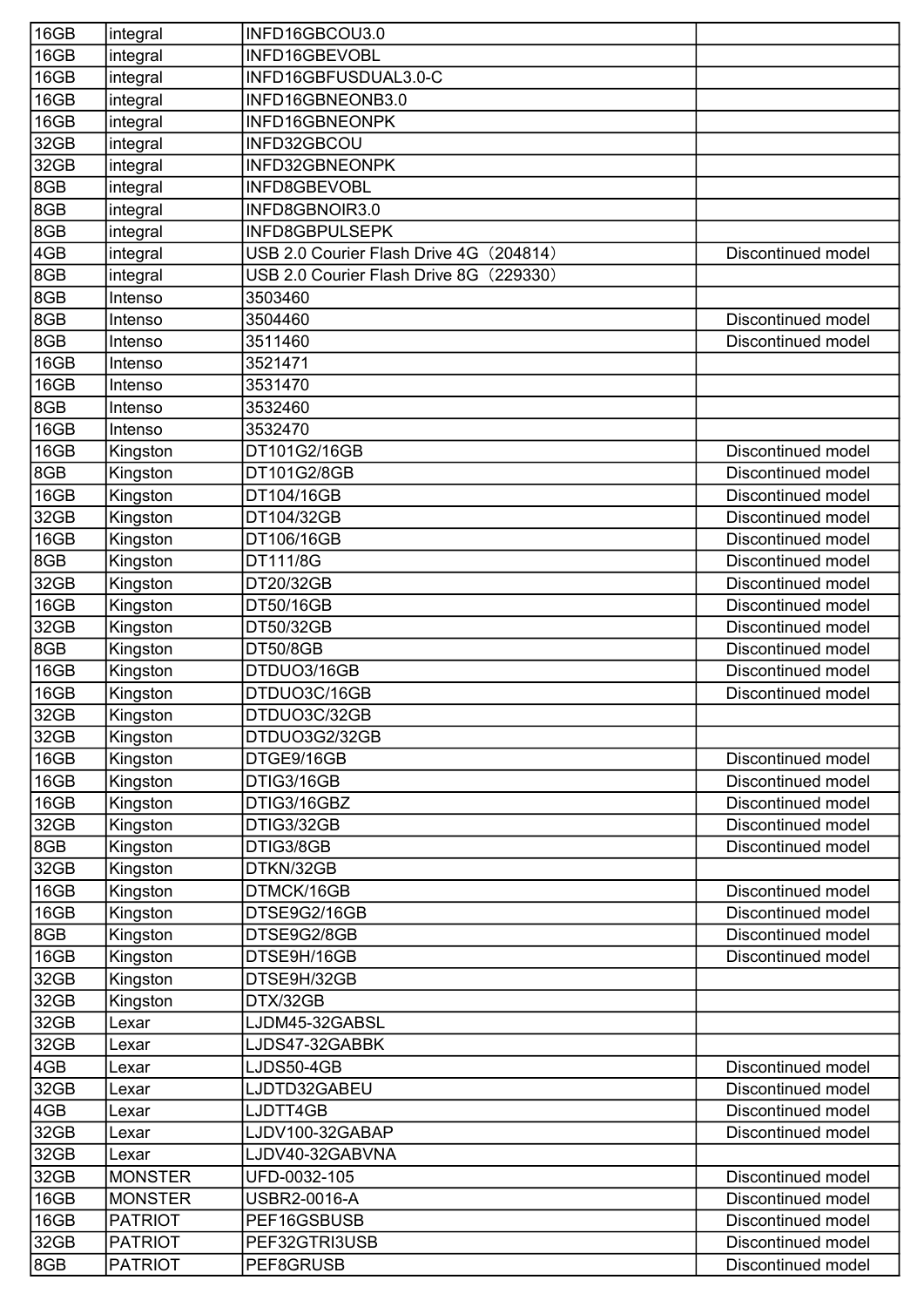| 16GB | integral       | INFD16GBCOU3.0                          |                           |
|------|----------------|-----------------------------------------|---------------------------|
| 16GB | integral       | INFD16GBEVOBL                           |                           |
| 16GB | integral       | INFD16GBFUSDUAL3.0-C                    |                           |
| 16GB | integral       | INFD16GBNEONB3.0                        |                           |
| 16GB | integral       | INFD16GBNEONPK                          |                           |
| 32GB | integral       | INFD32GBCOU                             |                           |
| 32GB | integral       | INFD32GBNEONPK                          |                           |
| 8GB  | integral       | INFD8GBEVOBL                            |                           |
| 8GB  | integral       | INFD8GBNOIR3.0                          |                           |
| 8GB  | integral       | <b>INFD8GBPULSEPK</b>                   |                           |
| 4GB  | integral       | USB 2.0 Courier Flash Drive 4G (204814) | Discontinued model        |
| 8GB  | integral       | USB 2.0 Courier Flash Drive 8G (229330) |                           |
| 8GB  | Intenso        | 3503460                                 |                           |
| 8GB  | Intenso        | 3504460                                 | Discontinued model        |
| 8GB  | Intenso        | 3511460                                 | <b>Discontinued model</b> |
| 16GB | Intenso        | 3521471                                 |                           |
| 16GB | Intenso        | 3531470                                 |                           |
| 8GB  | Intenso        | 3532460                                 |                           |
| 16GB | Intenso        | 3532470                                 |                           |
| 16GB | Kingston       | DT101G2/16GB                            | Discontinued model        |
| 8GB  | Kingston       | DT101G2/8GB                             | Discontinued model        |
| 16GB | Kingston       | DT104/16GB                              | Discontinued model        |
| 32GB | Kingston       | DT104/32GB                              | Discontinued model        |
| 16GB | Kingston       | DT106/16GB                              | Discontinued model        |
| 8GB  | Kingston       | DT111/8G                                | Discontinued model        |
| 32GB | Kingston       | DT20/32GB                               | Discontinued model        |
| 16GB | Kingston       | DT50/16GB                               | Discontinued model        |
| 32GB | Kingston       | DT50/32GB                               | Discontinued model        |
| 8GB  | Kingston       | <b>DT50/8GB</b>                         | Discontinued model        |
| 16GB | Kingston       | DTDUO3/16GB                             | Discontinued model        |
| 16GB | Kingston       | DTDUO3C/16GB                            | Discontinued model        |
| 32GB | Kingston       | DTDUO3C/32GB                            |                           |
| 32GB | Kingston       | DTDUO3G2/32GB                           |                           |
| 16GB | Kingston       | DTGE9/16GB                              | Discontinued model        |
| 16GB | Kingston       | DTIG3/16GB                              | Discontinued model        |
| 16GB | Kingston       | DTIG3/16GBZ                             | Discontinued model        |
| 32GB | Kingston       | DTIG3/32GB                              | Discontinued model        |
| 8GB  | Kingston       | DTIG3/8GB                               | Discontinued model        |
| 32GB | Kingston       | DTKN/32GB                               |                           |
| 16GB | Kingston       | DTMCK/16GB                              | Discontinued model        |
| 16GB | Kingston       | DTSE9G2/16GB                            | Discontinued model        |
| 8GB  | Kingston       | DTSE9G2/8GB                             | Discontinued model        |
| 16GB | Kingston       | DTSE9H/16GB                             | Discontinued model        |
| 32GB | Kingston       | DTSE9H/32GB                             |                           |
| 32GB | Kingston       | DTX/32GB                                |                           |
| 32GB | Lexar          | LJDM45-32GABSL                          |                           |
| 32GB | Lexar          | LJDS47-32GABBK                          |                           |
| 4GB  | Lexar          | LJDS50-4GB                              | Discontinued model        |
| 32GB | Lexar          | LJDTD32GABEU                            | Discontinued model        |
| 4GB  | Lexar          | LJDTT4GB                                | Discontinued model        |
| 32GB | Lexar          | LJDV100-32GABAP                         | Discontinued model        |
| 32GB | Lexar          | LJDV40-32GABVNA                         |                           |
| 32GB | <b>MONSTER</b> | UFD-0032-105                            | Discontinued model        |
| 16GB | <b>MONSTER</b> | USBR2-0016-A                            | Discontinued model        |
| 16GB | <b>PATRIOT</b> | PEF16GSBUSB                             | Discontinued model        |
| 32GB | <b>PATRIOT</b> | PEF32GTRI3USB                           | Discontinued model        |
| 8GB  | <b>PATRIOT</b> | PEF8GRUSB                               | Discontinued model        |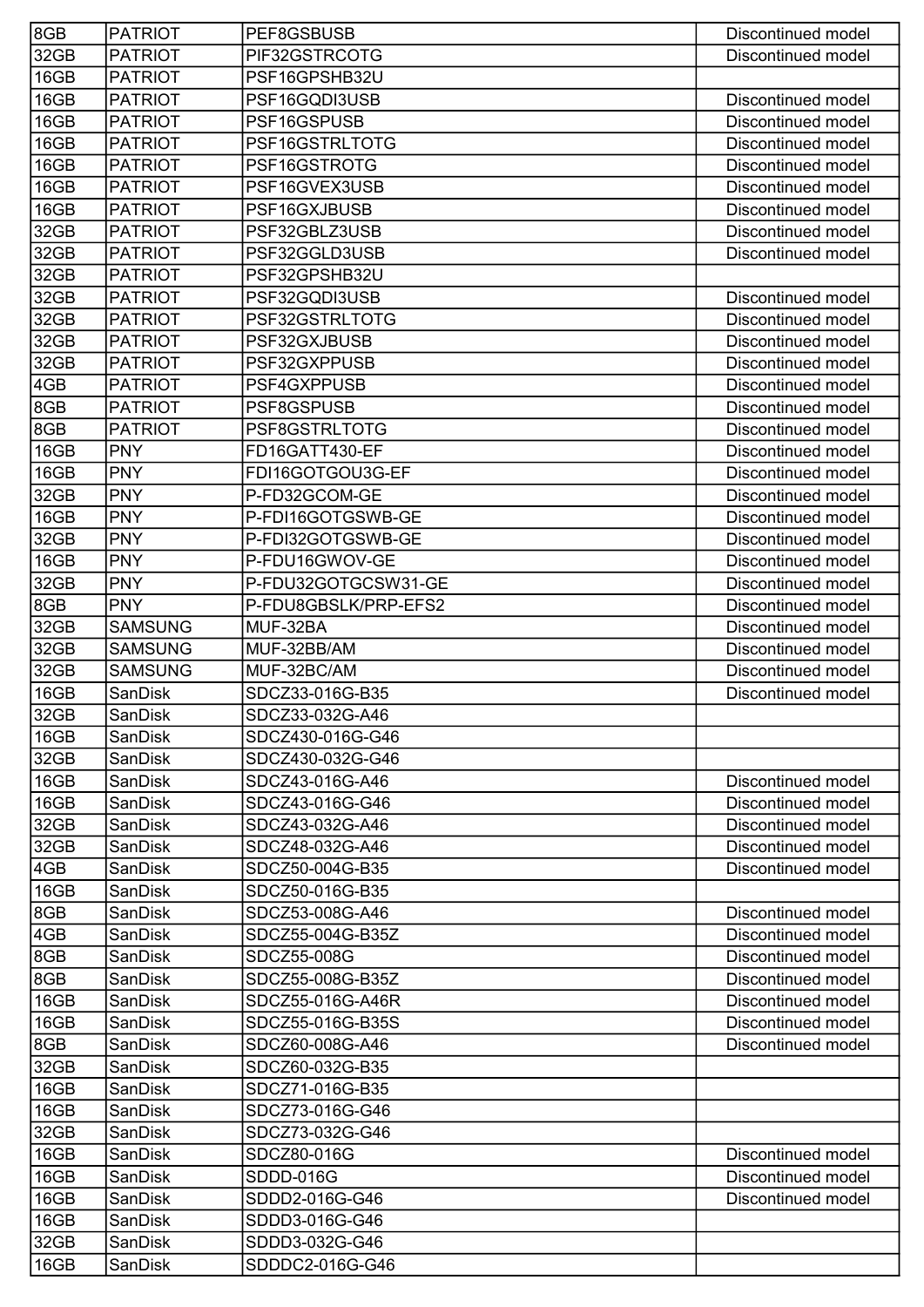| 8GB  | <b>PATRIOT</b> | PEF8GSBUSB                       | Discontinued model |
|------|----------------|----------------------------------|--------------------|
| 32GB | <b>PATRIOT</b> | PIF32GSTRCOTG                    | Discontinued model |
| 16GB | <b>PATRIOT</b> | PSF16GPSHB32U                    |                    |
| 16GB | <b>PATRIOT</b> | PSF16GQDI3USB                    | Discontinued model |
| 16GB | <b>PATRIOT</b> | PSF16GSPUSB                      | Discontinued model |
| 16GB | <b>PATRIOT</b> | PSF16GSTRLTOTG                   | Discontinued model |
| 16GB | <b>PATRIOT</b> | PSF16GSTROTG                     | Discontinued model |
| 16GB | <b>PATRIOT</b> | PSF16GVEX3USB                    | Discontinued model |
| 16GB | <b>PATRIOT</b> | PSF16GXJBUSB                     | Discontinued model |
| 32GB | <b>PATRIOT</b> | PSF32GBLZ3USB                    | Discontinued model |
| 32GB | <b>PATRIOT</b> | PSF32GGLD3USB                    | Discontinued model |
| 32GB | <b>PATRIOT</b> | PSF32GPSHB32U                    |                    |
| 32GB | <b>PATRIOT</b> | PSF32GQDI3USB                    | Discontinued model |
| 32GB | <b>PATRIOT</b> | PSF32GSTRLTOTG                   | Discontinued model |
| 32GB | <b>PATRIOT</b> | PSF32GXJBUSB                     | Discontinued model |
| 32GB | <b>PATRIOT</b> | PSF32GXPPUSB                     | Discontinued model |
| 4GB  | <b>PATRIOT</b> | PSF4GXPPUSB                      | Discontinued model |
| 8GB  | <b>PATRIOT</b> | PSF8GSPUSB                       | Discontinued model |
| 8GB  | <b>PATRIOT</b> | PSF8GSTRLTOTG                    | Discontinued model |
| 16GB | <b>PNY</b>     | FD16GATT430-EF                   | Discontinued model |
| 16GB | <b>PNY</b>     | FDI16GOTGOU3G-EF                 | Discontinued model |
| 32GB | <b>PNY</b>     | P-FD32GCOM-GE                    | Discontinued model |
| 16GB | <b>PNY</b>     | P-FDI16GOTGSWB-GE                | Discontinued model |
| 32GB | <b>PNY</b>     | P-FDI32GOTGSWB-GE                | Discontinued model |
| 16GB | <b>PNY</b>     | P-FDU16GWOV-GE                   | Discontinued model |
| 32GB | <b>PNY</b>     | P-FDU32GOTGCSW31-GE              | Discontinued model |
| 8GB  | <b>PNY</b>     | P-FDU8GBSLK/PRP-EFS2             | Discontinued model |
| 32GB | <b>SAMSUNG</b> | MUF-32BA                         | Discontinued model |
| 32GB | <b>SAMSUNG</b> | MUF-32BB/AM                      | Discontinued model |
| 32GB | <b>SAMSUNG</b> | MUF-32BC/AM                      | Discontinued model |
| 16GB | SanDisk        | SDCZ33-016G-B35                  | Discontinued model |
| 32GB | SanDisk        | SDCZ33-032G-A46                  |                    |
| 16GB | SanDisk        | SDCZ430-016G-G46                 |                    |
| 32GB | SanDisk        | SDCZ430-032G-G46                 |                    |
| 16GB | SanDisk        | SDCZ43-016G-A46                  | Discontinued model |
| 16GB | <b>SanDisk</b> | SDCZ43-016G-G46                  | Discontinued model |
| 32GB | SanDisk        | SDCZ43-032G-A46                  | Discontinued model |
| 32GB | SanDisk        | SDCZ48-032G-A46                  | Discontinued model |
| 4GB  | <b>SanDisk</b> | SDCZ50-004G-B35                  | Discontinued model |
| 16GB | <b>SanDisk</b> | SDCZ50-016G-B35                  |                    |
| 8GB  | <b>SanDisk</b> | SDCZ53-008G-A46                  | Discontinued model |
| 4GB  | <b>SanDisk</b> | SDCZ55-004G-B35Z                 | Discontinued model |
| 8GB  | SanDisk        | SDCZ55-008G                      | Discontinued model |
| 8GB  | SanDisk        | SDCZ55-008G-B35Z                 | Discontinued model |
| 16GB | <b>SanDisk</b> | SDCZ55-016G-A46R                 | Discontinued model |
| 16GB | SanDisk        | SDCZ55-016G-B35S                 | Discontinued model |
| 8GB  | <b>SanDisk</b> | SDCZ60-008G-A46                  | Discontinued model |
| 32GB | SanDisk        | SDCZ60-032G-B35                  |                    |
| 16GB | <b>SanDisk</b> | SDCZ71-016G-B35                  |                    |
| 16GB | SanDisk        | SDCZ73-016G-G46                  |                    |
| 32GB | <b>SanDisk</b> | SDCZ73-032G-G46                  |                    |
| 16GB | SanDisk        | SDCZ80-016G                      | Discontinued model |
| 16GB | SanDisk        | SDDD-016G                        | Discontinued model |
| 16GB | SanDisk        | SDDD2-016G-G46<br>SDDD3-016G-G46 | Discontinued model |
| 16GB | <b>SanDisk</b> | SDDD3-032G-G46                   |                    |
| 32GB | <b>SanDisk</b> |                                  |                    |
| 16GB | SanDisk        | SDDDC2-016G-G46                  |                    |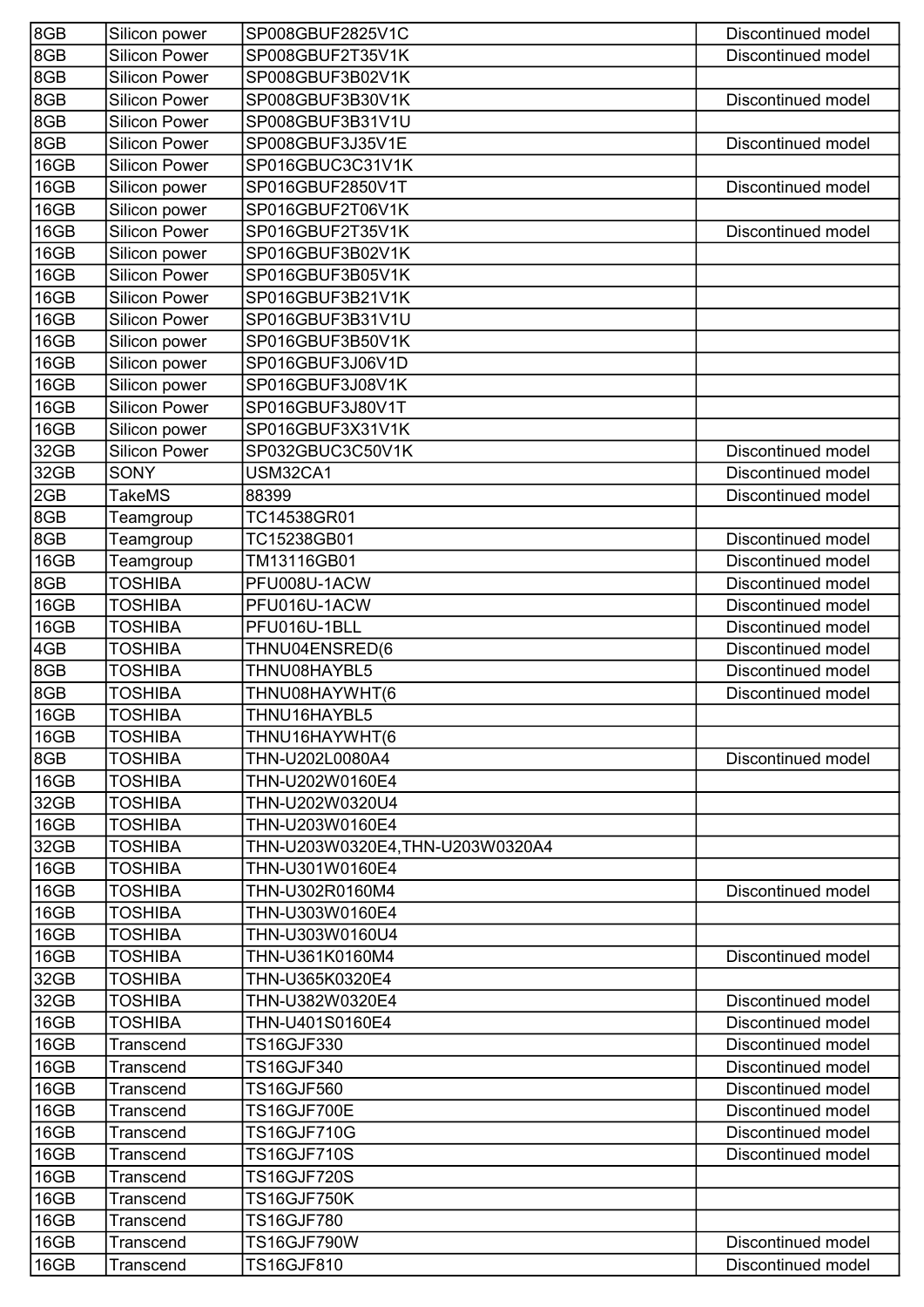| 8GB  | Silicon power        | SP008GBUF2825V1C                | Discontinued model |
|------|----------------------|---------------------------------|--------------------|
| 8GB  | <b>Silicon Power</b> | SP008GBUF2T35V1K                | Discontinued model |
| 8GB  | <b>Silicon Power</b> | SP008GBUF3B02V1K                |                    |
| 8GB  | <b>Silicon Power</b> | SP008GBUF3B30V1K                | Discontinued model |
| 8GB  | <b>Silicon Power</b> | SP008GBUF3B31V1U                |                    |
| 8GB  | <b>Silicon Power</b> | SP008GBUF3J35V1E                | Discontinued model |
| 16GB | <b>Silicon Power</b> | SP016GBUC3C31V1K                |                    |
| 16GB | Silicon power        | SP016GBUF2850V1T                | Discontinued model |
| 16GB | Silicon power        | SP016GBUF2T06V1K                |                    |
| 16GB | <b>Silicon Power</b> | SP016GBUF2T35V1K                | Discontinued model |
| 16GB | Silicon power        | SP016GBUF3B02V1K                |                    |
| 16GB | Silicon Power        | SP016GBUF3B05V1K                |                    |
| 16GB | <b>Silicon Power</b> | SP016GBUF3B21V1K                |                    |
| 16GB | <b>Silicon Power</b> | SP016GBUF3B31V1U                |                    |
| 16GB | Silicon power        | SP016GBUF3B50V1K                |                    |
| 16GB | Silicon power        | SP016GBUF3J06V1D                |                    |
| 16GB | Silicon power        | SP016GBUF3J08V1K                |                    |
| 16GB | <b>Silicon Power</b> | SP016GBUF3J80V1T                |                    |
| 16GB | Silicon power        | SP016GBUF3X31V1K                |                    |
| 32GB | <b>Silicon Power</b> | SP032GBUC3C50V1K                | Discontinued model |
| 32GB | <b>SONY</b>          | USM32CA1                        | Discontinued model |
| 2GB  | <b>TakeMS</b>        | 88399                           | Discontinued model |
| 8GB  | Teamgroup            | TC14538GR01                     |                    |
| 8GB  | Teamgroup            | TC15238GB01                     | Discontinued model |
| 16GB | Teamgroup            | TM13116GB01                     | Discontinued model |
| 8GB  | <b>TOSHIBA</b>       | PFU008U-1ACW                    | Discontinued model |
| 16GB | <b>TOSHIBA</b>       | PFU016U-1ACW                    | Discontinued model |
| 16GB | <b>TOSHIBA</b>       | PFU016U-1BLL                    | Discontinued model |
| 4GB  | <b>TOSHIBA</b>       | THNU04ENSRED(6                  | Discontinued model |
| 8GB  | <b>TOSHIBA</b>       | THNU08HAYBL5                    | Discontinued model |
| 8GB  | <b>TOSHIBA</b>       | THNU08HAYWHT(6                  | Discontinued model |
| 16GB | TOSHIBA              | THNU16HAYBL5                    |                    |
| 16GB | <b>TOSHIBA</b>       | THNU16HAYWHT(6                  |                    |
| 8GB  | <b>TOSHIBA</b>       | THN-U202L0080A4                 | Discontinued model |
| 16GB | <b>TOSHIBA</b>       | THN-U202W0160E4                 |                    |
| 32GB | <b>TOSHIBA</b>       | THN-U202W0320U4                 |                    |
| 16GB | <b>TOSHIBA</b>       | THN-U203W0160E4                 |                    |
| 32GB | <b>TOSHIBA</b>       | THN-U203W0320E4,THN-U203W0320A4 |                    |
| 16GB | <b>TOSHIBA</b>       | THN-U301W0160E4                 |                    |
| 16GB | <b>TOSHIBA</b>       | THN-U302R0160M4                 | Discontinued model |
| 16GB | <b>TOSHIBA</b>       | THN-U303W0160E4                 |                    |
| 16GB | <b>TOSHIBA</b>       | THN-U303W0160U4                 |                    |
| 16GB | <b>TOSHIBA</b>       | THN-U361K0160M4                 | Discontinued model |
| 32GB | <b>TOSHIBA</b>       | THN-U365K0320E4                 |                    |
| 32GB | <b>TOSHIBA</b>       | THN-U382W0320E4                 | Discontinued model |
| 16GB | <b>TOSHIBA</b>       | THN-U401S0160E4                 | Discontinued model |
| 16GB | Transcend            | <b>TS16GJF330</b>               | Discontinued model |
| 16GB | Transcend            | <b>TS16GJF340</b>               | Discontinued model |
| 16GB | Transcend            | <b>TS16GJF560</b>               | Discontinued model |
| 16GB | Transcend            | <b>TS16GJF700E</b>              | Discontinued model |
| 16GB | Transcend            | <b>TS16GJF710G</b>              | Discontinued model |
| 16GB | Transcend            | <b>TS16GJF710S</b>              | Discontinued model |
| 16GB | Transcend            | <b>TS16GJF720S</b>              |                    |
| 16GB | Transcend            | <b>TS16GJF750K</b>              |                    |
| 16GB | <b>Transcend</b>     | <b>TS16GJF780</b>               |                    |
| 16GB | Transcend            | <b>TS16GJF790W</b>              | Discontinued model |
| 16GB | Transcend            | <b>TS16GJF810</b>               | Discontinued model |